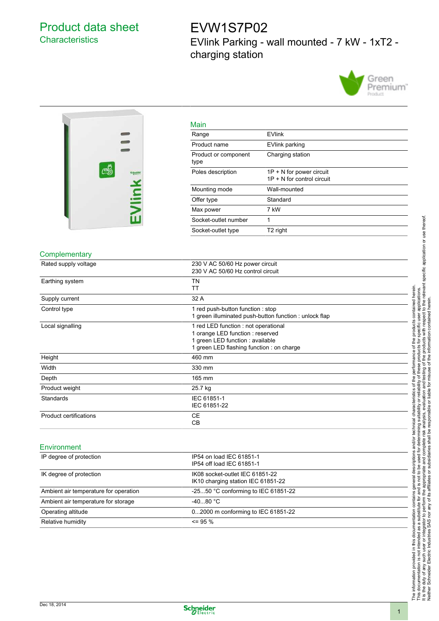## Product data sheet **Characteristics**

## EVW1S7P02 EVlink Parking - wall mounted - 7 kW - 1xT2 charging station





| Main                         |                                                            |
|------------------------------|------------------------------------------------------------|
| Range                        | <b>EVlink</b>                                              |
| Product name                 | EVlink parking                                             |
| Product or component<br>type | Charging station                                           |
| Poles description            | $1P + N$ for power circuit<br>$1P + N$ for control circuit |
| Mounting mode                | Wall-mounted                                               |
| Offer type                   | Standard                                                   |
| Max power                    | 7 kW                                                       |
| Socket-outlet number         | 1                                                          |
| Socket-outlet type           | T <sub>2</sub> right                                       |

## **Complementary**

| Rated supply voltage                  | 230 V AC 50/60 Hz power circuit<br>230 V AC 50/60 Hz control circuit                                                                                      |
|---------------------------------------|-----------------------------------------------------------------------------------------------------------------------------------------------------------|
| Earthing system                       | <b>TN</b><br><b>TT</b>                                                                                                                                    |
| Supply current                        | 32 A                                                                                                                                                      |
| Control type                          | 1 red push-button function : stop<br>1 green illuminated push-button function : unlock flap                                                               |
| Local signalling                      | 1 red LED function : not operational<br>1 orange LED function : reserved<br>1 green LED function : available<br>1 green LED flashing function : on charge |
| Height                                | 460 mm                                                                                                                                                    |
| Width                                 | 330 mm                                                                                                                                                    |
| Depth                                 | 165 mm                                                                                                                                                    |
| Product weight                        | 25.7 kg                                                                                                                                                   |
| Standards                             | IEC 61851-1<br>IEC 61851-22                                                                                                                               |
| <b>Product certifications</b>         | <b>CE</b><br>CB                                                                                                                                           |
| Environment                           |                                                                                                                                                           |
| IP degree of protection               | IP54 on load IEC 61851-1<br>IP54 off load IEC 61851-1                                                                                                     |
| IK degree of protection               | IK08 socket-outlet IEC 61851-22<br>IK10 charging station IEC 61851-22                                                                                     |
| Ambient air temperature for operation | -2550 °C conforming to IEC 61851-22                                                                                                                       |
| Ambient air temperature for storage   | $-4080 °C$                                                                                                                                                |
| Operating altitude                    | 02000 m conforming to IEC 61851-22                                                                                                                        |
| Relative humidity                     | $\leq$ 95 %                                                                                                                                               |